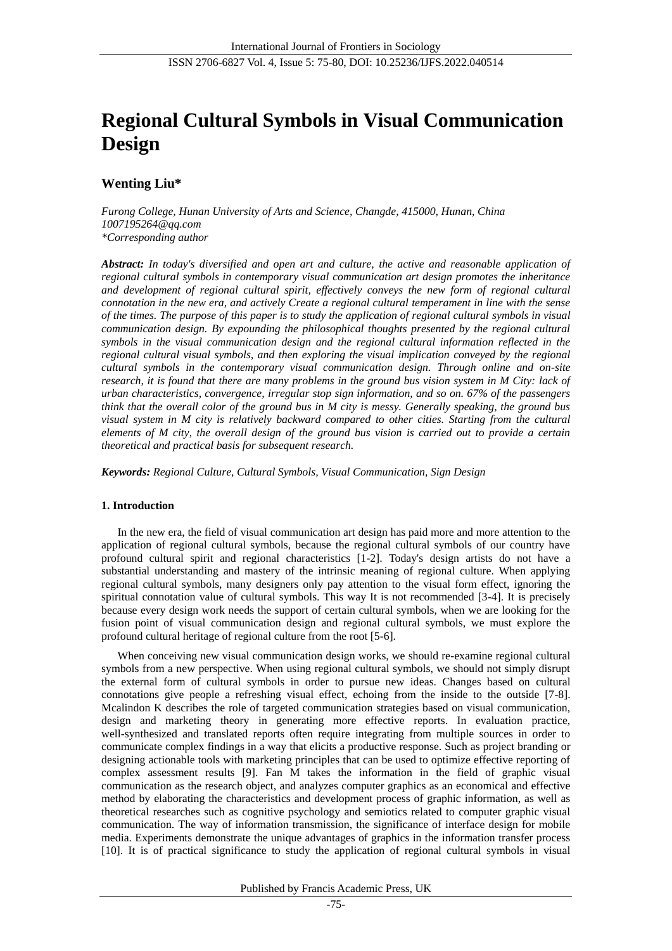# **Regional Cultural Symbols in Visual Communication Design**

# **Wenting Liu\***

*Furong College, Hunan University of Arts and Science, Changde, 415000, Hunan, China 1007195264@qq.com \*Corresponding author*

*Abstract: In today's diversified and open art and culture, the active and reasonable application of regional cultural symbols in contemporary visual communication art design promotes the inheritance and development of regional cultural spirit, effectively conveys the new form of regional cultural connotation in the new era, and actively Create a regional cultural temperament in line with the sense of the times. The purpose of this paper is to study the application of regional cultural symbols in visual communication design. By expounding the philosophical thoughts presented by the regional cultural symbols in the visual communication design and the regional cultural information reflected in the regional cultural visual symbols, and then exploring the visual implication conveyed by the regional cultural symbols in the contemporary visual communication design. Through online and on-site research, it is found that there are many problems in the ground bus vision system in M City: lack of urban characteristics, convergence, irregular stop sign information, and so on. 67% of the passengers think that the overall color of the ground bus in M city is messy. Generally speaking, the ground bus visual system in M city is relatively backward compared to other cities. Starting from the cultural elements of M city, the overall design of the ground bus vision is carried out to provide a certain theoretical and practical basis for subsequent research.*

*Keywords: Regional Culture, Cultural Symbols, Visual Communication, Sign Design*

# **1. Introduction**

In the new era, the field of visual communication art design has paid more and more attention to the application of regional cultural symbols, because the regional cultural symbols of our country have profound cultural spirit and regional characteristics [1-2]. Today's design artists do not have a substantial understanding and mastery of the intrinsic meaning of regional culture. When applying regional cultural symbols, many designers only pay attention to the visual form effect, ignoring the spiritual connotation value of cultural symbols. This way It is not recommended [3-4]. It is precisely because every design work needs the support of certain cultural symbols, when we are looking for the fusion point of visual communication design and regional cultural symbols, we must explore the profound cultural heritage of regional culture from the root [5-6].

When conceiving new visual communication design works, we should re-examine regional cultural symbols from a new perspective. When using regional cultural symbols, we should not simply disrupt the external form of cultural symbols in order to pursue new ideas. Changes based on cultural connotations give people a refreshing visual effect, echoing from the inside to the outside [7-8]. Mcalindon K describes the role of targeted communication strategies based on visual communication, design and marketing theory in generating more effective reports. In evaluation practice, well-synthesized and translated reports often require integrating from multiple sources in order to communicate complex findings in a way that elicits a productive response. Such as project branding or designing actionable tools with marketing principles that can be used to optimize effective reporting of complex assessment results [9]. Fan M takes the information in the field of graphic visual communication as the research object, and analyzes computer graphics as an economical and effective method by elaborating the characteristics and development process of graphic information, as well as theoretical researches such as cognitive psychology and semiotics related to computer graphic visual communication. The way of information transmission, the significance of interface design for mobile media. Experiments demonstrate the unique advantages of graphics in the information transfer process [10]. It is of practical significance to study the application of regional cultural symbols in visual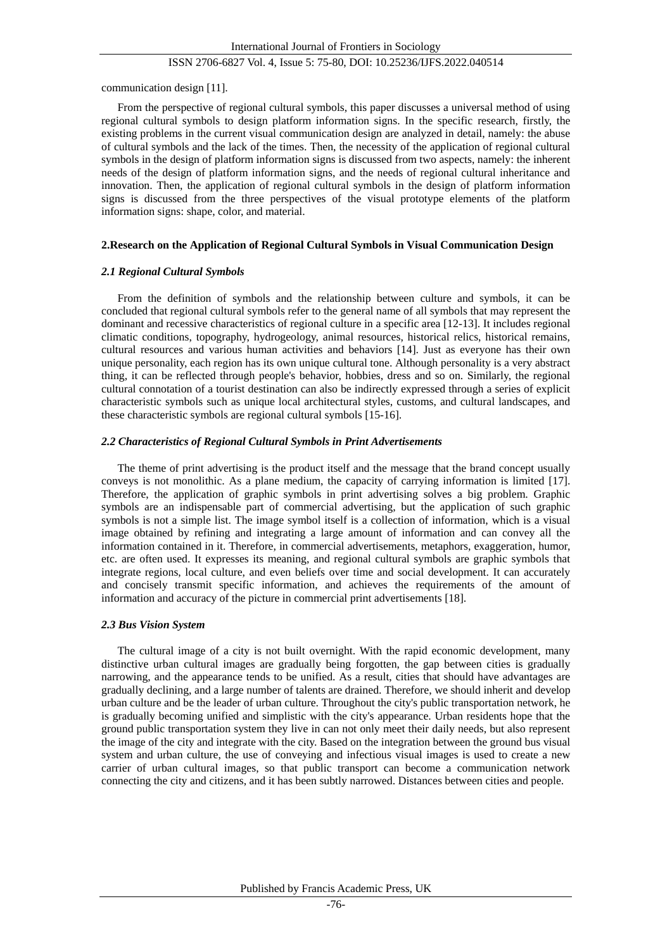communication design [11].

From the perspective of regional cultural symbols, this paper discusses a universal method of using regional cultural symbols to design platform information signs. In the specific research, firstly, the existing problems in the current visual communication design are analyzed in detail, namely: the abuse of cultural symbols and the lack of the times. Then, the necessity of the application of regional cultural symbols in the design of platform information signs is discussed from two aspects, namely: the inherent needs of the design of platform information signs, and the needs of regional cultural inheritance and innovation. Then, the application of regional cultural symbols in the design of platform information signs is discussed from the three perspectives of the visual prototype elements of the platform information signs: shape, color, and material.

#### **2.Research on the Application of Regional Cultural Symbols in Visual Communication Design**

#### *2.1 Regional Cultural Symbols*

From the definition of symbols and the relationship between culture and symbols, it can be concluded that regional cultural symbols refer to the general name of all symbols that may represent the dominant and recessive characteristics of regional culture in a specific area [12-13]. It includes regional climatic conditions, topography, hydrogeology, animal resources, historical relics, historical remains, cultural resources and various human activities and behaviors [14]. Just as everyone has their own unique personality, each region has its own unique cultural tone. Although personality is a very abstract thing, it can be reflected through people's behavior, hobbies, dress and so on. Similarly, the regional cultural connotation of a tourist destination can also be indirectly expressed through a series of explicit characteristic symbols such as unique local architectural styles, customs, and cultural landscapes, and these characteristic symbols are regional cultural symbols [15-16].

## *2.2 Characteristics of Regional Cultural Symbols in Print Advertisements*

The theme of print advertising is the product itself and the message that the brand concept usually conveys is not monolithic. As a plane medium, the capacity of carrying information is limited [17]. Therefore, the application of graphic symbols in print advertising solves a big problem. Graphic symbols are an indispensable part of commercial advertising, but the application of such graphic symbols is not a simple list. The image symbol itself is a collection of information, which is a visual image obtained by refining and integrating a large amount of information and can convey all the information contained in it. Therefore, in commercial advertisements, metaphors, exaggeration, humor, etc. are often used. It expresses its meaning, and regional cultural symbols are graphic symbols that integrate regions, local culture, and even beliefs over time and social development. It can accurately and concisely transmit specific information, and achieves the requirements of the amount of information and accuracy of the picture in commercial print advertisements [18].

# *2.3 Bus Vision System*

The cultural image of a city is not built overnight. With the rapid economic development, many distinctive urban cultural images are gradually being forgotten, the gap between cities is gradually narrowing, and the appearance tends to be unified. As a result, cities that should have advantages are gradually declining, and a large number of talents are drained. Therefore, we should inherit and develop urban culture and be the leader of urban culture. Throughout the city's public transportation network, he is gradually becoming unified and simplistic with the city's appearance. Urban residents hope that the ground public transportation system they live in can not only meet their daily needs, but also represent the image of the city and integrate with the city. Based on the integration between the ground bus visual system and urban culture, the use of conveying and infectious visual images is used to create a new carrier of urban cultural images, so that public transport can become a communication network connecting the city and citizens, and it has been subtly narrowed. Distances between cities and people.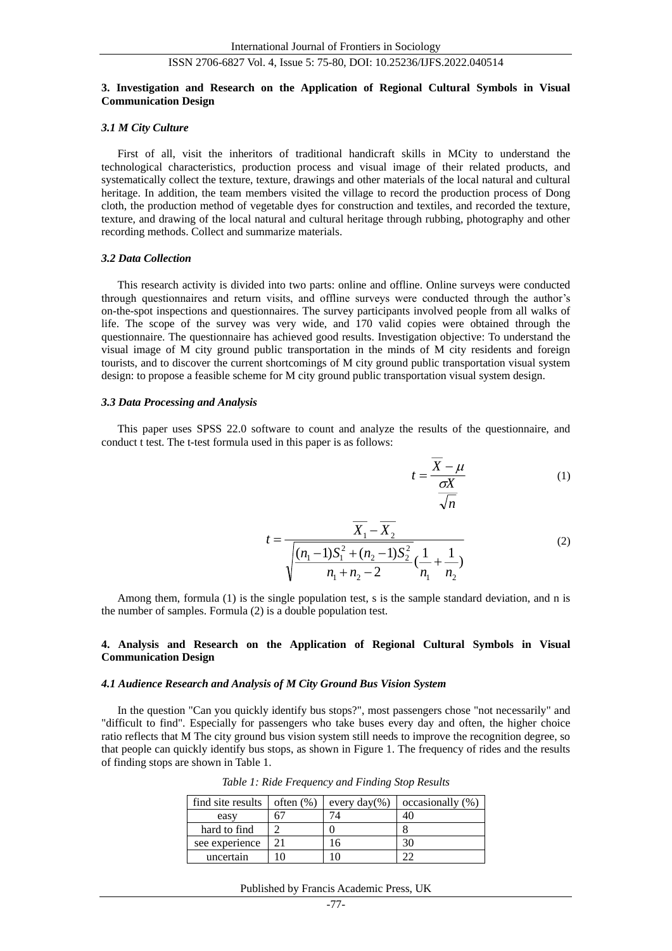## **3. Investigation and Research on the Application of Regional Cultural Symbols in Visual Communication Design**

#### *3.1 M City Culture*

First of all, visit the inheritors of traditional handicraft skills in MCity to understand the technological characteristics, production process and visual image of their related products, and systematically collect the texture, texture, drawings and other materials of the local natural and cultural heritage. In addition, the team members visited the village to record the production process of Dong cloth, the production method of vegetable dyes for construction and textiles, and recorded the texture, texture, and drawing of the local natural and cultural heritage through rubbing, photography and other recording methods. Collect and summarize materials.

#### *3.2 Data Collection*

This research activity is divided into two parts: online and offline. Online surveys were conducted through questionnaires and return visits, and offline surveys were conducted through the author's on-the-spot inspections and questionnaires. The survey participants involved people from all walks of life. The scope of the survey was very wide, and 170 valid copies were obtained through the questionnaire. The questionnaire has achieved good results. Investigation objective: To understand the visual image of M city ground public transportation in the minds of M city residents and foreign tourists, and to discover the current shortcomings of M city ground public transportation visual system design: to propose a feasible scheme for M city ground public transportation visual system design.

## *3.3 Data Processing and Analysis*

This paper uses SPSS 22.0 software to count and analyze the results of the questionnaire, and conduct t test. The t-test formula used in this paper is as follows:

$$
t = \frac{\overline{X} - \mu}{\frac{\sigma X}{\sqrt{n}}} \tag{1}
$$

$$
t = \frac{\overline{X}_1 - \overline{X}_2}{\sqrt{\frac{(n_1 - 1)S_1^2 + (n_2 - 1)S_2^2}{n_1 + n_2 - 2}(\frac{1}{n_1} + \frac{1}{n_2})}}
$$
(2)

Among them, formula (1) is the single population test, s is the sample standard deviation, and n is the number of samples. Formula (2) is a double population test.

## **4. Analysis and Research on the Application of Regional Cultural Symbols in Visual Communication Design**

#### *4.1 Audience Research and Analysis of M City Ground Bus Vision System*

In the question "Can you quickly identify bus stops?", most passengers chose "not necessarily" and "difficult to find". Especially for passengers who take buses every day and often, the higher choice ratio reflects that M The city ground bus vision system still needs to improve the recognition degree, so that people can quickly identify bus stops, as shown in Figure 1. The frequency of rides and the results of finding stops are shown in Table 1.

| find site results | often $(\%)$ | every $day(\%)$ | occasionally (%) |
|-------------------|--------------|-----------------|------------------|
| easy              |              |                 | 40               |
| hard to find      |              |                 |                  |
| see experience    |              | h               | 30               |
| uncertain         |              |                 |                  |

*Table 1: Ride Frequency and Finding Stop Results*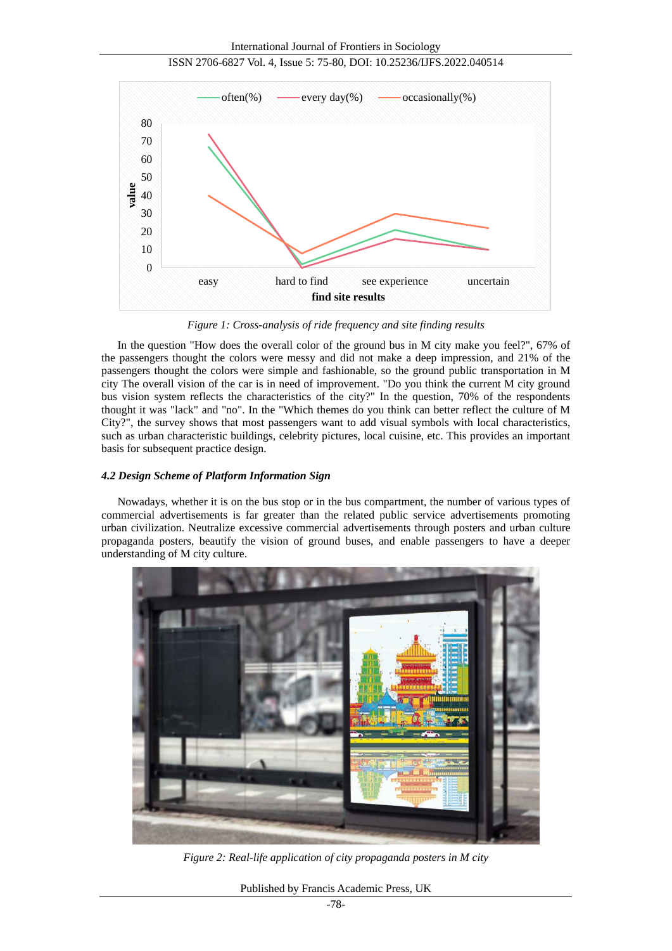

ISSN 2706-6827 Vol. 4, Issue 5: 75-80, DOI: 10.25236/IJFS.2022.040514

*Figure 1: Cross-analysis of ride frequency and site finding results*

In the question "How does the overall color of the ground bus in M city make you feel?", 67% of the passengers thought the colors were messy and did not make a deep impression, and 21% of the passengers thought the colors were simple and fashionable, so the ground public transportation in M city The overall vision of the car is in need of improvement. "Do you think the current M city ground bus vision system reflects the characteristics of the city?" In the question, 70% of the respondents thought it was "lack" and "no". In the "Which themes do you think can better reflect the culture of M City?", the survey shows that most passengers want to add visual symbols with local characteristics, such as urban characteristic buildings, celebrity pictures, local cuisine, etc. This provides an important basis for subsequent practice design.

## *4.2 Design Scheme of Platform Information Sign*

Nowadays, whether it is on the bus stop or in the bus compartment, the number of various types of commercial advertisements is far greater than the related public service advertisements promoting urban civilization. Neutralize excessive commercial advertisements through posters and urban culture propaganda posters, beautify the vision of ground buses, and enable passengers to have a deeper understanding of M city culture.



*Figure 2: Real-life application of city propaganda posters in M city*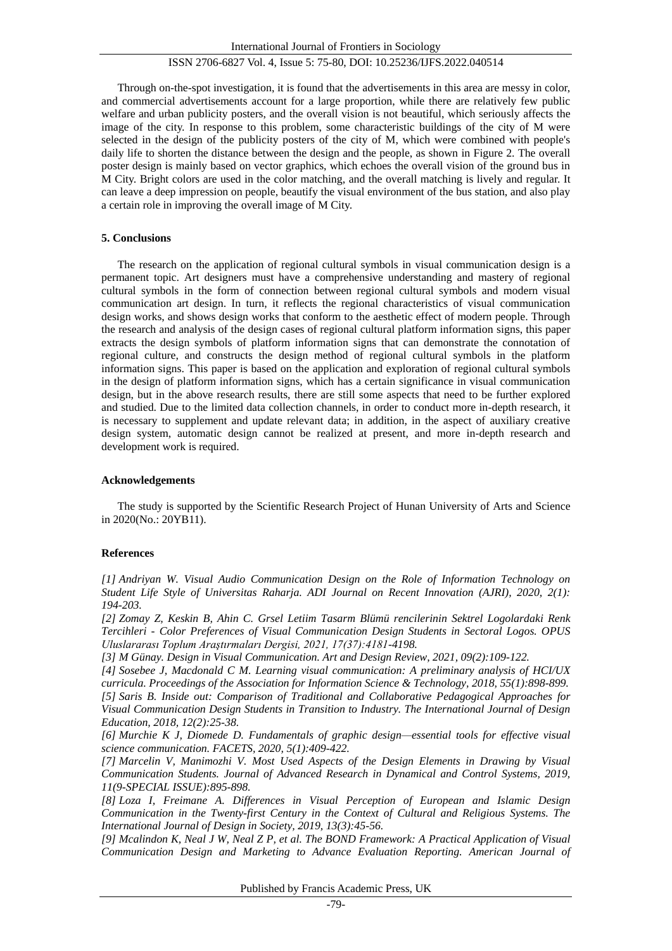Through on-the-spot investigation, it is found that the advertisements in this area are messy in color, and commercial advertisements account for a large proportion, while there are relatively few public welfare and urban publicity posters, and the overall vision is not beautiful, which seriously affects the image of the city. In response to this problem, some characteristic buildings of the city of M were selected in the design of the publicity posters of the city of M, which were combined with people's daily life to shorten the distance between the design and the people, as shown in Figure 2. The overall poster design is mainly based on vector graphics, which echoes the overall vision of the ground bus in M City. Bright colors are used in the color matching, and the overall matching is lively and regular. It can leave a deep impression on people, beautify the visual environment of the bus station, and also play a certain role in improving the overall image of M City.

#### **5. Conclusions**

The research on the application of regional cultural symbols in visual communication design is a permanent topic. Art designers must have a comprehensive understanding and mastery of regional cultural symbols in the form of connection between regional cultural symbols and modern visual communication art design. In turn, it reflects the regional characteristics of visual communication design works, and shows design works that conform to the aesthetic effect of modern people. Through the research and analysis of the design cases of regional cultural platform information signs, this paper extracts the design symbols of platform information signs that can demonstrate the connotation of regional culture, and constructs the design method of regional cultural symbols in the platform information signs. This paper is based on the application and exploration of regional cultural symbols in the design of platform information signs, which has a certain significance in visual communication design, but in the above research results, there are still some aspects that need to be further explored and studied. Due to the limited data collection channels, in order to conduct more in-depth research, it is necessary to supplement and update relevant data; in addition, in the aspect of auxiliary creative design system, automatic design cannot be realized at present, and more in-depth research and development work is required.

## **Acknowledgements**

The study is supported by the Scientific Research Project of Hunan University of Arts and Science in 2020(No.: 20YB11).

# **References**

*[1] Andriyan W. Visual Audio Communication Design on the Role of Information Technology on Student Life Style of Universitas Raharja. ADI Journal on Recent Innovation (AJRI), 2020, 2(1): 194-203.*

*[2] Zomay Z, Keskin B, Ahin C. Grsel Letiim Tasarm Blümü rencilerinin Sektrel Logolardaki Renk Tercihleri - Color Preferences of Visual Communication Design Students in Sectoral Logos. OPUS Uluslararası Toplum Araştırmaları Dergisi, 2021, 17(37):4181-4198.*

*[3] M Günay. Design in Visual Communication. Art and Design Review, 2021, 09(2):109-122.*

*[4] Sosebee J, Macdonald C M. Learning visual communication: A preliminary analysis of HCI/UX curricula. Proceedings of the Association for Information Science & Technology, 2018, 55(1):898-899. [5] Saris B. Inside out: Comparison of Traditional and Collaborative Pedagogical Approaches for Visual Communication Design Students in Transition to Industry. The International Journal of Design Education, 2018, 12(2):25-38.*

*[6] Murchie K J, Diomede D. Fundamentals of graphic design—essential tools for effective visual science communication. FACETS, 2020, 5(1):409-422.*

*[7] Marcelin V, Manimozhi V. Most Used Aspects of the Design Elements in Drawing by Visual Communication Students. Journal of Advanced Research in Dynamical and Control Systems, 2019, 11(9-SPECIAL ISSUE):895-898.*

*[8] Loza I, Freimane A. Differences in Visual Perception of European and Islamic Design Communication in the Twenty-first Century in the Context of Cultural and Religious Systems. The International Journal of Design in Society, 2019, 13(3):45-56.*

*[9] Mcalindon K, Neal J W, Neal Z P, et al. The BOND Framework: A Practical Application of Visual Communication Design and Marketing to Advance Evaluation Reporting. American Journal of*